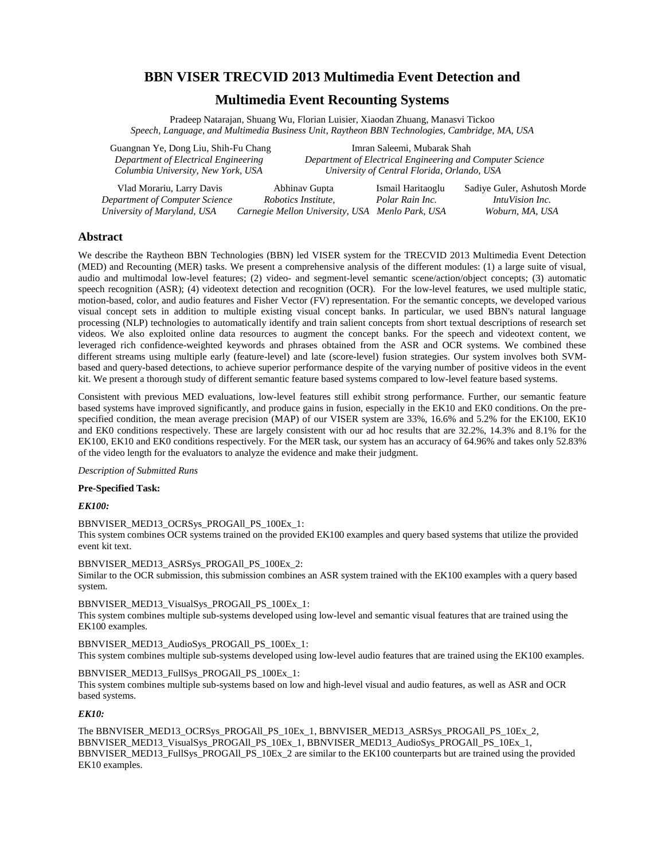# **BBN VISER TRECVID 2013 Multimedia Event Detection and**

# **Multimedia Event Recounting Systems**

Pradeep Natarajan, Shuang Wu, Florian Luisier, Xiaodan Zhuang, Manasvi Tickoo *Speech, Language, and Multimedia Business Unit, Raytheon BBN Technologies, Cambridge, MA, USA*

Guangnan Ye, Dong Liu, Shih-Fu Chang Imran Saleemi, Mubarak Shah  *Department of Electrical Engineering Department of Electrical Engineering and Computer Science Columbia University, New York, USA University of Central Florida, Orlando, USA*

Vlad Morariu, Larry Davis Abhinav Gupta Ismail Haritaoglu Sadiye Guler, Ashutosh Morde *Department of Computer Science Robotics Institute, Polar Rain Inc. IntuVision Inc. University of Maryland, USA Carnegie Mellon University, USA Menlo Park, USA Woburn, MA, USA*

## **Abstract**

We describe the Raytheon BBN Technologies (BBN) led VISER system for the TRECVID 2013 Multimedia Event Detection (MED) and Recounting (MER) tasks. We present a comprehensive analysis of the different modules: (1) a large suite of visual, audio and multimodal low-level features; (2) video- and segment-level semantic scene/action/object concepts; (3) automatic speech recognition (ASR); (4) videotext detection and recognition (OCR). For the low-level features, we used multiple static, motion-based, color, and audio features and Fisher Vector (FV) representation. For the semantic concepts, we developed various visual concept sets in addition to multiple existing visual concept banks. In particular, we used BBN's natural language processing (NLP) technologies to automatically identify and train salient concepts from short textual descriptions of research set videos. We also exploited online data resources to augment the concept banks. For the speech and videotext content, we leveraged rich confidence-weighted keywords and phrases obtained from the ASR and OCR systems. We combined these different streams using multiple early (feature-level) and late (score-level) fusion strategies. Our system involves both SVMbased and query-based detections, to achieve superior performance despite of the varying number of positive videos in the event kit. We present a thorough study of different semantic feature based systems compared to low-level feature based systems.

Consistent with previous MED evaluations, low-level features still exhibit strong performance. Further, our semantic feature based systems have improved significantly, and produce gains in fusion, especially in the EK10 and EK0 conditions. On the prespecified condition, the mean average precision (MAP) of our VISER system are 33%, 16.6% and 5.2% for the EK100, EK10 and EK0 conditions respectively. These are largely consistent with our ad hoc results that are 32.2%, 14.3% and 8.1% for the EK100, EK10 and EK0 conditions respectively. For the MER task, our system has an accuracy of 64.96% and takes only 52.83% of the video length for the evaluators to analyze the evidence and make their judgment.

#### *Description of Submitted Runs*

### **Pre-Specified Task:**

### *EK100:*

BBNVISER\_MED13\_OCRSys\_PROGAll\_PS\_100Ex\_1:

This system combines OCR systems trained on the provided EK100 examples and query based systems that utilize the provided event kit text.

#### BBNVISER\_MED13\_ASRSys\_PROGAll\_PS\_100Ex\_2:

Similar to the OCR submission, this submission combines an ASR system trained with the EK100 examples with a query based system.

BBNVISER\_MED13\_VisualSys\_PROGAll\_PS\_100Ex\_1: This system combines multiple sub-systems developed using low-level and semantic visual features that are trained using the EK100 examples.

#### BBNVISER\_MED13\_AudioSys\_PROGAll\_PS\_100Ex\_1: This system combines multiple sub-systems developed using low-level audio features that are trained using the EK100 examples.

#### BBNVISER\_MED13\_FullSys\_PROGAll\_PS\_100Ex\_1:

This system combines multiple sub-systems based on low and high-level visual and audio features, as well as ASR and OCR based systems.

#### *EK10:*

The BBNVISER\_MED13\_OCRSys\_PROGAll\_PS\_10Ex\_1, BBNVISER\_MED13\_ASRSys\_PROGAll\_PS\_10Ex\_2, BBNVISER\_MED13\_VisualSys\_PROGAll\_PS\_10Ex\_1, BBNVISER\_MED13\_AudioSys\_PROGAll\_PS\_10Ex\_1, BBNVISER\_MED13\_FullSys\_PROGAll\_PS\_10Ex\_2 are similar to the EK100 counterparts but are trained using the provided EK10 examples.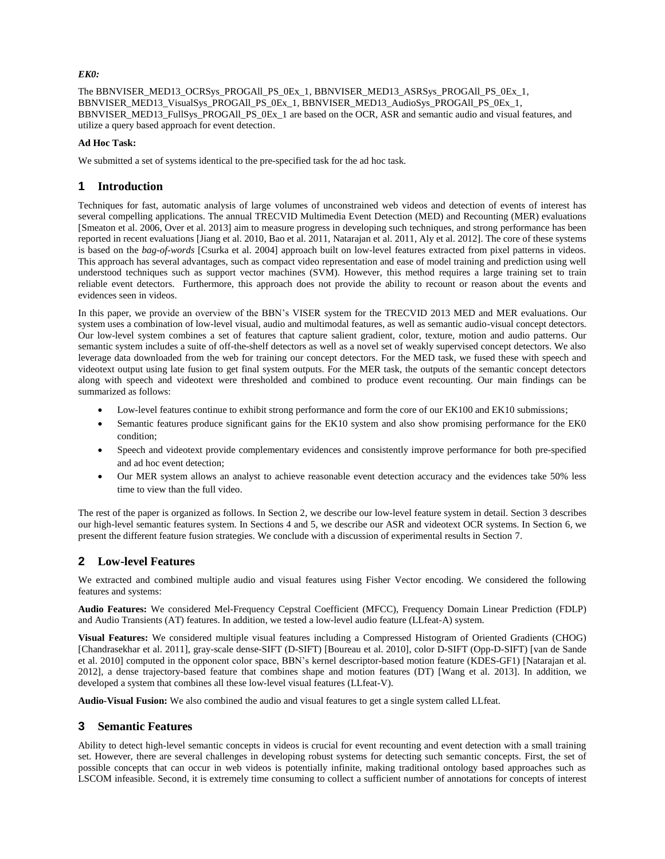### *EK0:*

The BBNVISER\_MED13\_OCRSys\_PROGAll\_PS\_0Ex\_1, BBNVISER\_MED13\_ASRSys\_PROGAll\_PS\_0Ex\_1, BBNVISER\_MED13\_VisualSys\_PROGAll\_PS\_0Ex\_1, BBNVISER\_MED13\_AudioSys\_PROGAll\_PS\_0Ex\_1, BBNVISER\_MED13\_FullSys\_PROGAll\_PS\_0Ex\_1 are based on the OCR, ASR and semantic audio and visual features, and utilize a query based approach for event detection.

### **Ad Hoc Task:**

We submitted a set of systems identical to the pre-specified task for the ad hoc task.

## **1 Introduction**

Techniques for fast, automatic analysis of large volumes of unconstrained web videos and detection of events of interest has several compelling applications. The annual TRECVID Multimedia Event Detection (MED) and Recounting (MER) evaluations [Smeaton et al. 2006, Over et al. 2013] aim to measure progress in developing such techniques, and strong performance has been reported in recent evaluations [Jiang et al. 2010, Bao et al. 2011, Natarajan et al. 2011, Aly et al. 2012]. The core of these systems is based on the *bag-of-words* [Csurka et al. 2004] approach built on low-level features extracted from pixel patterns in videos. This approach has several advantages, such as compact video representation and ease of model training and prediction using well understood techniques such as support vector machines (SVM). However, this method requires a large training set to train reliable event detectors. Furthermore, this approach does not provide the ability to recount or reason about the events and evidences seen in videos.

In this paper, we provide an overview of the BBN's VISER system for the TRECVID 2013 MED and MER evaluations. Our system uses a combination of low-level visual, audio and multimodal features, as well as semantic audio-visual concept detectors. Our low-level system combines a set of features that capture salient gradient, color, texture, motion and audio patterns. Our semantic system includes a suite of off-the-shelf detectors as well as a novel set of weakly supervised concept detectors. We also leverage data downloaded from the web for training our concept detectors. For the MED task, we fused these with speech and videotext output using late fusion to get final system outputs. For the MER task, the outputs of the semantic concept detectors along with speech and videotext were thresholded and combined to produce event recounting. Our main findings can be summarized as follows:

- Low-level features continue to exhibit strong performance and form the core of our EK100 and EK10 submissions;
- Semantic features produce significant gains for the EK10 system and also show promising performance for the EK0 condition;
- Speech and videotext provide complementary evidences and consistently improve performance for both pre-specified and ad hoc event detection;
- Our MER system allows an analyst to achieve reasonable event detection accuracy and the evidences take 50% less time to view than the full video.

The rest of the paper is organized as follows. In Section 2, we describe our low-level feature system in detail. Section 3 describes our high-level semantic features system. In Sections 4 and 5, we describe our ASR and videotext OCR systems. In Section 6, we present the different feature fusion strategies. We conclude with a discussion of experimental results in Section 7.

# **2 Low-level Features**

We extracted and combined multiple audio and visual features using Fisher Vector encoding. We considered the following features and systems:

**Audio Features:** We considered Mel-Frequency Cepstral Coefficient (MFCC), Frequency Domain Linear Prediction (FDLP) and Audio Transients (AT) features. In addition, we tested a low-level audio feature (LLfeat-A) system.

**Visual Features:** We considered multiple visual features including a Compressed Histogram of Oriented Gradients (CHOG) [Chandrasekhar et al. 2011], gray-scale dense-SIFT (D-SIFT) [Boureau et al. 2010], color D-SIFT (Opp-D-SIFT) [van de Sande et al. 2010] computed in the opponent color space, BBN's kernel descriptor-based motion feature (KDES-GF1) [Natarajan et al. 2012], a dense trajectory-based feature that combines shape and motion features (DT) [Wang et al. 2013]. In addition, we developed a system that combines all these low-level visual features (LLfeat-V).

**Audio-Visual Fusion:** We also combined the audio and visual features to get a single system called LLfeat.

## **3 Semantic Features**

Ability to detect high-level semantic concepts in videos is crucial for event recounting and event detection with a small training set. However, there are several challenges in developing robust systems for detecting such semantic concepts. First, the set of possible concepts that can occur in web videos is potentially infinite, making traditional ontology based approaches such as LSCOM infeasible. Second, it is extremely time consuming to collect a sufficient number of annotations for concepts of interest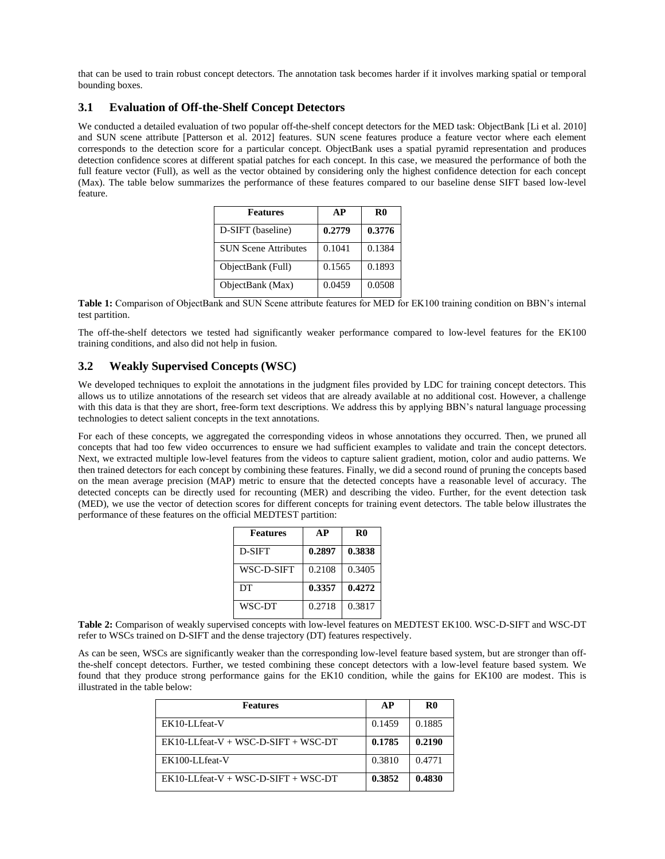that can be used to train robust concept detectors. The annotation task becomes harder if it involves marking spatial or temporal bounding boxes.

## **3.1 Evaluation of Off-the-Shelf Concept Detectors**

We conducted a detailed evaluation of two popular off-the-shelf concept detectors for the MED task: ObjectBank [Li et al. 2010] and SUN scene attribute [Patterson et al. 2012] features. SUN scene features produce a feature vector where each element corresponds to the detection score for a particular concept. ObjectBank uses a spatial pyramid representation and produces detection confidence scores at different spatial patches for each concept. In this case, we measured the performance of both the full feature vector (Full), as well as the vector obtained by considering only the highest confidence detection for each concept (Max). The table below summarizes the performance of these features compared to our baseline dense SIFT based low-level feature.

| <b>Features</b>             | AP     | $\bf R0$ |
|-----------------------------|--------|----------|
| D-SIFT (baseline)           | 0.2779 | 0.3776   |
| <b>SUN Scene Attributes</b> | 0.1041 | 0.1384   |
| ObjectBank (Full)           | 0.1565 | 0.1893   |
| ObjectBank (Max)            | 0.0459 | 0.0508   |

Table 1: Comparison of ObjectBank and SUN Scene attribute features for MED for EK100 training condition on BBN's internal test partition.

The off-the-shelf detectors we tested had significantly weaker performance compared to low-level features for the EK100 training conditions, and also did not help in fusion.

## **3.2 Weakly Supervised Concepts (WSC)**

We developed techniques to exploit the annotations in the judgment files provided by LDC for training concept detectors. This allows us to utilize annotations of the research set videos that are already available at no additional cost. However, a challenge with this data is that they are short, free-form text descriptions. We address this by applying BBN's natural language processing technologies to detect salient concepts in the text annotations.

For each of these concepts, we aggregated the corresponding videos in whose annotations they occurred. Then, we pruned all concepts that had too few video occurrences to ensure we had sufficient examples to validate and train the concept detectors. Next, we extracted multiple low-level features from the videos to capture salient gradient, motion, color and audio patterns. We then trained detectors for each concept by combining these features. Finally, we did a second round of pruning the concepts based on the mean average precision (MAP) metric to ensure that the detected concepts have a reasonable level of accuracy. The detected concepts can be directly used for recounting (MER) and describing the video. Further, for the event detection task (MED), we use the vector of detection scores for different concepts for training event detectors. The table below illustrates the performance of these features on the official MEDTEST partition:

| <b>Features</b> | AP     | R <sub>0</sub> |
|-----------------|--------|----------------|
| <b>D-SIFT</b>   | 0.2897 | 0.3838         |
| WSC-D-SIFT      | 0.2108 | 0.3405         |
| DТ              | 0.3357 | 0.4272         |
| WSC-DT          | 0.2718 | 0.3817         |

**Table 2:** Comparison of weakly supervised concepts with low-level features on MEDTEST EK100. WSC-D-SIFT and WSC-DT refer to WSCs trained on D-SIFT and the dense trajectory (DT) features respectively.

As can be seen, WSCs are significantly weaker than the corresponding low-level feature based system, but are stronger than offthe-shelf concept detectors. Further, we tested combining these concept detectors with a low-level feature based system. We found that they produce strong performance gains for the EK10 condition, while the gains for EK100 are modest. This is illustrated in the table below:

| <b>Features</b>                         | AP     | R0     |
|-----------------------------------------|--------|--------|
| EK10-LLfeat-V                           | 0.1459 | 0.1885 |
| $EK10-I.L$ feat-V + WSC-D-SIFT + WSC-DT | 0.1785 | 0.2190 |
| EK100-LLfeat-V                          | 0.3810 | 0.4771 |
| $EK10-IJ$ feat-V + WSC-D-SIFT + WSC-DT  | 0.3852 | 0.4830 |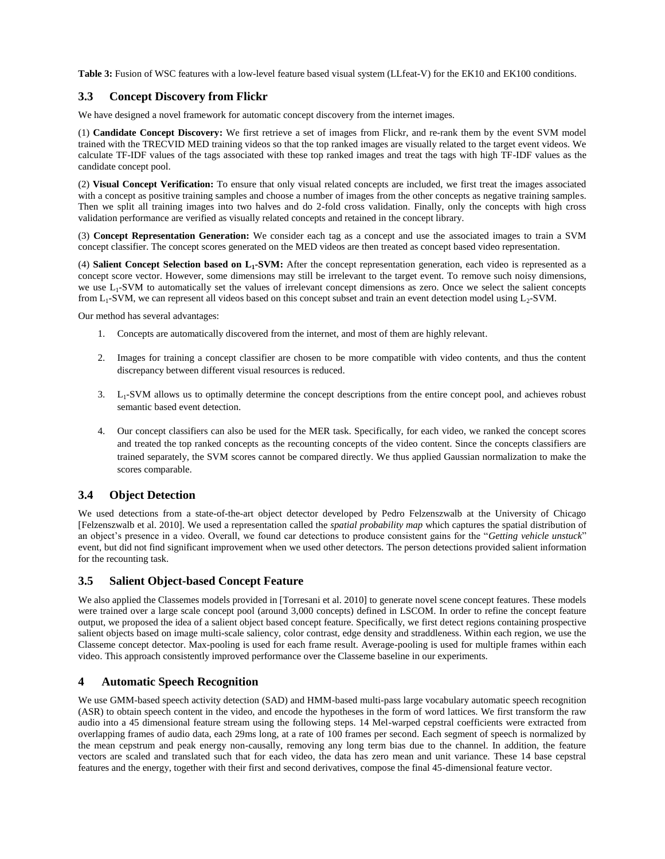**Table 3:** Fusion of WSC features with a low-level feature based visual system (LLfeat-V) for the EK10 and EK100 conditions.

## **3.3 Concept Discovery from Flickr**

We have designed a novel framework for automatic concept discovery from the internet images.

(1) **Candidate Concept Discovery:** We first retrieve a set of images from Flickr, and re-rank them by the event SVM model trained with the TRECVID MED training videos so that the top ranked images are visually related to the target event videos. We calculate TF-IDF values of the tags associated with these top ranked images and treat the tags with high TF-IDF values as the candidate concept pool.

(2) **Visual Concept Verification:** To ensure that only visual related concepts are included, we first treat the images associated with a concept as positive training samples and choose a number of images from the other concepts as negative training samples. Then we split all training images into two halves and do 2-fold cross validation. Finally, only the concepts with high cross validation performance are verified as visually related concepts and retained in the concept library.

(3) **Concept Representation Generation:** We consider each tag as a concept and use the associated images to train a SVM concept classifier. The concept scores generated on the MED videos are then treated as concept based video representation.

(4) **Salient Concept Selection based on L<sup>1</sup> -SVM:** After the concept representation generation, each video is represented as a concept score vector. However, some dimensions may still be irrelevant to the target event. To remove such noisy dimensions, we use L<sub>1</sub>-SVM to automatically set the values of irrelevant concept dimensions as zero. Once we select the salient concepts from  $L_1$ -SVM, we can represent all videos based on this concept subset and train an event detection model using  $L_2$ -SVM.

Our method has several advantages:

- 1. Concepts are automatically discovered from the internet, and most of them are highly relevant.
- 2. Images for training a concept classifier are chosen to be more compatible with video contents, and thus the content discrepancy between different visual resources is reduced.
- 3. L<sub>1</sub>-SVM allows us to optimally determine the concept descriptions from the entire concept pool, and achieves robust semantic based event detection.
- 4. Our concept classifiers can also be used for the MER task. Specifically, for each video, we ranked the concept scores and treated the top ranked concepts as the recounting concepts of the video content. Since the concepts classifiers are trained separately, the SVM scores cannot be compared directly. We thus applied Gaussian normalization to make the scores comparable.

## **3.4 Object Detection**

We used detections from a state-of-the-art object detector developed by Pedro Felzenszwalb at the University of Chicago [Felzenszwalb et al. 2010]. We used a representation called the *spatial probability map* which captures the spatial distribution of an object's presence in a video. Overall, we found car detections to produce consistent gains for the "*Getting vehicle unstuck*" event, but did not find significant improvement when we used other detectors. The person detections provided salient information for the recounting task.

## **3.5 Salient Object-based Concept Feature**

We also applied the Classemes models provided in [Torresani et al. 2010] to generate novel scene concept features. These models were trained over a large scale concept pool (around 3,000 concepts) defined in LSCOM. In order to refine the concept feature output, we proposed the idea of a salient object based concept feature. Specifically, we first detect regions containing prospective salient objects based on image multi-scale saliency, color contrast, edge density and straddleness. Within each region, we use the Classeme concept detector. Max-pooling is used for each frame result. Average-pooling is used for multiple frames within each video. This approach consistently improved performance over the Classeme baseline in our experiments.

## **4 Automatic Speech Recognition**

We use GMM-based speech activity detection (SAD) and HMM-based multi-pass large vocabulary automatic speech recognition (ASR) to obtain speech content in the video, and encode the hypotheses in the form of word lattices. We first transform the raw audio into a 45 dimensional feature stream using the following steps. 14 Mel-warped cepstral coefficients were extracted from overlapping frames of audio data, each 29ms long, at a rate of 100 frames per second. Each segment of speech is normalized by the mean cepstrum and peak energy non-causally, removing any long term bias due to the channel. In addition, the feature vectors are scaled and translated such that for each video, the data has zero mean and unit variance. These 14 base cepstral features and the energy, together with their first and second derivatives, compose the final 45-dimensional feature vector.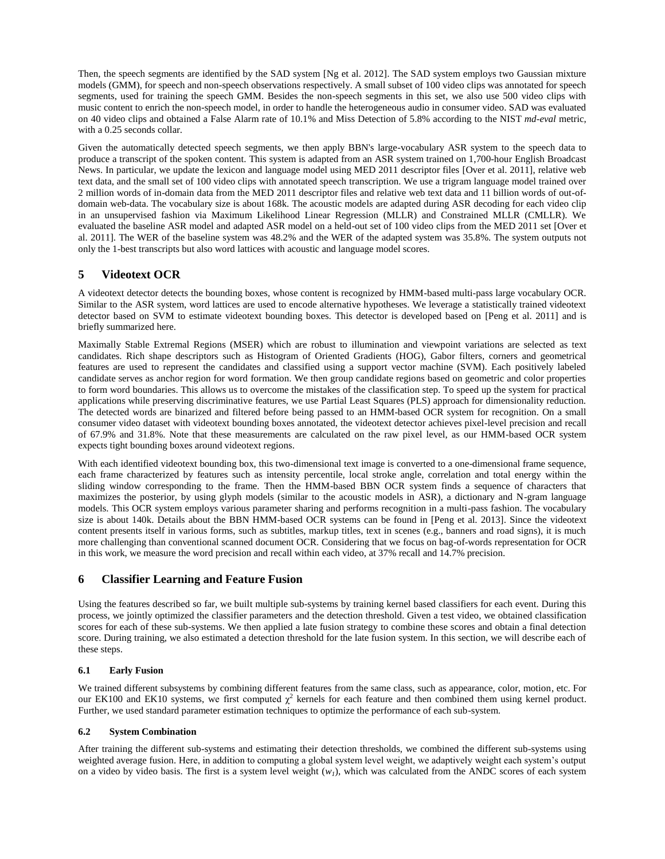Then, the speech segments are identified by the SAD system [Ng et al. 2012]. The SAD system employs two Gaussian mixture models (GMM), for speech and non-speech observations respectively. A small subset of 100 video clips was annotated for speech segments, used for training the speech GMM. Besides the non-speech segments in this set, we also use 500 video clips with music content to enrich the non-speech model, in order to handle the heterogeneous audio in consumer video. SAD was evaluated on 40 video clips and obtained a False Alarm rate of 10.1% and Miss Detection of 5.8% according to the NIST *md-eval* metric, with a 0.25 seconds collar.

Given the automatically detected speech segments, we then apply BBN's large-vocabulary ASR system to the speech data to produce a transcript of the spoken content. This system is adapted from an ASR system trained on 1,700-hour English Broadcast News. In particular, we update the lexicon and language model using MED 2011 descriptor files [Over et al. 2011], relative web text data, and the small set of 100 video clips with annotated speech transcription. We use a trigram language model trained over 2 million words of in-domain data from the MED 2011 descriptor files and relative web text data and 11 billion words of out-ofdomain web-data. The vocabulary size is about 168k. The acoustic models are adapted during ASR decoding for each video clip in an unsupervised fashion via Maximum Likelihood Linear Regression (MLLR) and Constrained MLLR (CMLLR). We evaluated the baseline ASR model and adapted ASR model on a held-out set of 100 video clips from the MED 2011 set [Over et al. 2011]. The WER of the baseline system was 48.2% and the WER of the adapted system was 35.8%. The system outputs not only the 1-best transcripts but also word lattices with acoustic and language model scores.

# **5 Videotext OCR**

A videotext detector detects the bounding boxes, whose content is recognized by HMM-based multi-pass large vocabulary OCR. Similar to the ASR system, word lattices are used to encode alternative hypotheses. We leverage a statistically trained videotext detector based on SVM to estimate videotext bounding boxes. This detector is developed based on [Peng et al. 2011] and is briefly summarized here.

Maximally Stable Extremal Regions (MSER) which are robust to illumination and viewpoint variations are selected as text candidates. Rich shape descriptors such as Histogram of Oriented Gradients (HOG), Gabor filters, corners and geometrical features are used to represent the candidates and classified using a support vector machine (SVM). Each positively labeled candidate serves as anchor region for word formation. We then group candidate regions based on geometric and color properties to form word boundaries. This allows us to overcome the mistakes of the classification step. To speed up the system for practical applications while preserving discriminative features, we use Partial Least Squares (PLS) approach for dimensionality reduction. The detected words are binarized and filtered before being passed to an HMM-based OCR system for recognition. On a small consumer video dataset with videotext bounding boxes annotated, the videotext detector achieves pixel-level precision and recall of 67.9% and 31.8%. Note that these measurements are calculated on the raw pixel level, as our HMM-based OCR system expects tight bounding boxes around videotext regions.

With each identified videotext bounding box, this two-dimensional text image is converted to a one-dimensional frame sequence, each frame characterized by features such as intensity percentile, local stroke angle, correlation and total energy within the sliding window corresponding to the frame. Then the HMM-based BBN OCR system finds a sequence of characters that maximizes the posterior, by using glyph models (similar to the acoustic models in ASR), a dictionary and N-gram language models. This OCR system employs various parameter sharing and performs recognition in a multi-pass fashion. The vocabulary size is about 140k. Details about the BBN HMM-based OCR systems can be found in [Peng et al. 2013]. Since the videotext content presents itself in various forms, such as subtitles, markup titles, text in scenes (e.g., banners and road signs), it is much more challenging than conventional scanned document OCR. Considering that we focus on bag-of-words representation for OCR in this work, we measure the word precision and recall within each video, at 37% recall and 14.7% precision.

# **6 Classifier Learning and Feature Fusion**

Using the features described so far, we built multiple sub-systems by training kernel based classifiers for each event. During this process, we jointly optimized the classifier parameters and the detection threshold. Given a test video, we obtained classification scores for each of these sub-systems. We then applied a late fusion strategy to combine these scores and obtain a final detection score. During training, we also estimated a detection threshold for the late fusion system. In this section, we will describe each of these steps.

### **6.1 Early Fusion**

We trained different subsystems by combining different features from the same class, such as appearance, color, motion, etc. For our EK100 and EK10 systems, we first computed  $\chi^2$  kernels for each feature and then combined them using kernel product. Further, we used standard parameter estimation techniques to optimize the performance of each sub-system.

### **6.2 System Combination**

After training the different sub-systems and estimating their detection thresholds, we combined the different sub-systems using weighted average fusion. Here, in addition to computing a global system level weight, we adaptively weight each system's output on a video by video basis. The first is a system level weight (*w<sup>1</sup>* ), which was calculated from the ANDC scores of each system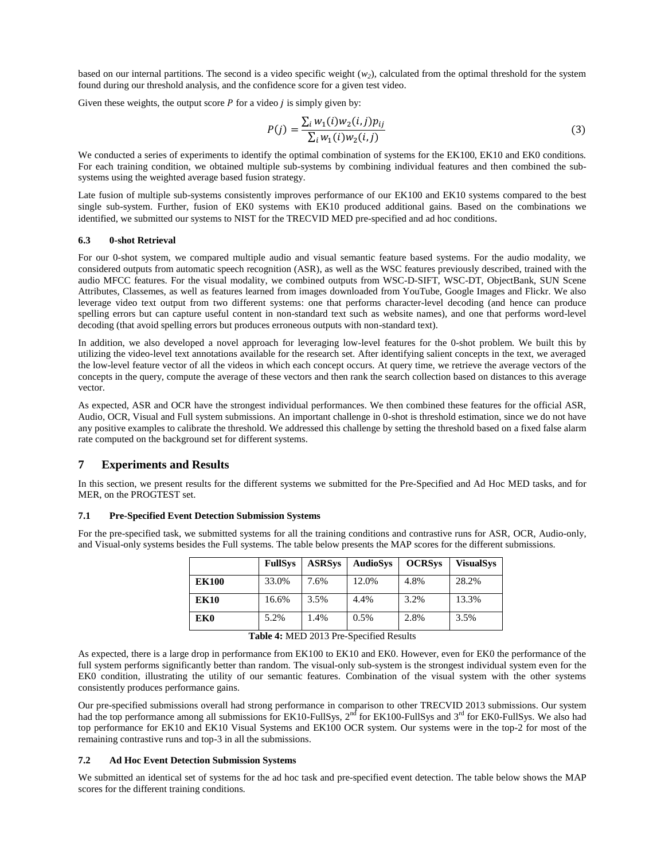based on our internal partitions. The second is a video specific weight (*w<sup>2</sup>* ), calculated from the optimal threshold for the system found during our threshold analysis, and the confidence score for a given test video.

Given these weights, the output score  $P$  for a video  $j$  is simply given by:

$$
P(j) = \frac{\sum_{i} w_1(i) w_2(i,j) p_{ij}}{\sum_{i} w_1(i) w_2(i,j)}
$$
(3)

We conducted a series of experiments to identify the optimal combination of systems for the EK100, EK10 and EK0 conditions. For each training condition, we obtained multiple sub-systems by combining individual features and then combined the subsystems using the weighted average based fusion strategy.

Late fusion of multiple sub-systems consistently improves performance of our EK100 and EK10 systems compared to the best single sub-system. Further, fusion of EK0 systems with EK10 produced additional gains. Based on the combinations we identified, we submitted our systems to NIST for the TRECVID MED pre-specified and ad hoc conditions.

#### **6.3 0-shot Retrieval**

For our 0-shot system, we compared multiple audio and visual semantic feature based systems. For the audio modality, we considered outputs from automatic speech recognition (ASR), as well as the WSC features previously described, trained with the audio MFCC features. For the visual modality, we combined outputs from WSC-D-SIFT, WSC-DT, ObjectBank, SUN Scene Attributes, Classemes, as well as features learned from images downloaded from YouTube, Google Images and Flickr. We also leverage video text output from two different systems: one that performs character-level decoding (and hence can produce spelling errors but can capture useful content in non-standard text such as website names), and one that performs word-level decoding (that avoid spelling errors but produces erroneous outputs with non-standard text).

In addition, we also developed a novel approach for leveraging low-level features for the 0-shot problem. We built this by utilizing the video-level text annotations available for the research set. After identifying salient concepts in the text, we averaged the low-level feature vector of all the videos in which each concept occurs. At query time, we retrieve the average vectors of the concepts in the query, compute the average of these vectors and then rank the search collection based on distances to this average vector.

As expected, ASR and OCR have the strongest individual performances. We then combined these features for the official ASR, Audio, OCR, Visual and Full system submissions. An important challenge in 0-shot is threshold estimation, since we do not have any positive examples to calibrate the threshold. We addressed this challenge by setting the threshold based on a fixed false alarm rate computed on the background set for different systems.

### **7 Experiments and Results**

In this section, we present results for the different systems we submitted for the Pre-Specified and Ad Hoc MED tasks, and for MER, on the PROGTEST set.

#### **7.1 Pre-Specified Event Detection Submission Systems**

For the pre-specified task, we submitted systems for all the training conditions and contrastive runs for ASR, OCR, Audio-only, and Visual-only systems besides the Full systems. The table below presents the MAP scores for the different submissions.

|              | <b>FullSys</b> | <b>ASRSvs</b> | <b>AudioSys</b> | <b>OCRSvs</b> | <b>VisualSys</b> |
|--------------|----------------|---------------|-----------------|---------------|------------------|
| <b>EK100</b> | 33.0%          | 7.6%          | 12.0%           | 4.8%          | 28.2%            |
| <b>EK10</b>  | 16.6%          | 3.5%          | 4.4%            | 3.2%          | 13.3%            |
| EK0          | 5.2%           | 1.4%          | 0.5%            | 2.8%          | 3.5%             |

**Table 4:** MED 2013 Pre-Specified Results

As expected, there is a large drop in performance from EK100 to EK10 and EK0. However, even for EK0 the performance of the full system performs significantly better than random. The visual-only sub-system is the strongest individual system even for the EK0 condition, illustrating the utility of our semantic features. Combination of the visual system with the other systems consistently produces performance gains.

Our pre-specified submissions overall had strong performance in comparison to other TRECVID 2013 submissions. Our system had the top performance among all submissions for EK10-FullSys, 2<sup>nd</sup> for EK100-FullSys and 3<sup>rd</sup> for EK0-FullSys. We also had top performance for EK10 and EK10 Visual Systems and EK100 OCR system. Our systems were in the top-2 for most of the remaining contrastive runs and top-3 in all the submissions.

#### **7.2 Ad Hoc Event Detection Submission Systems**

We submitted an identical set of systems for the ad hoc task and pre-specified event detection. The table below shows the MAP scores for the different training conditions.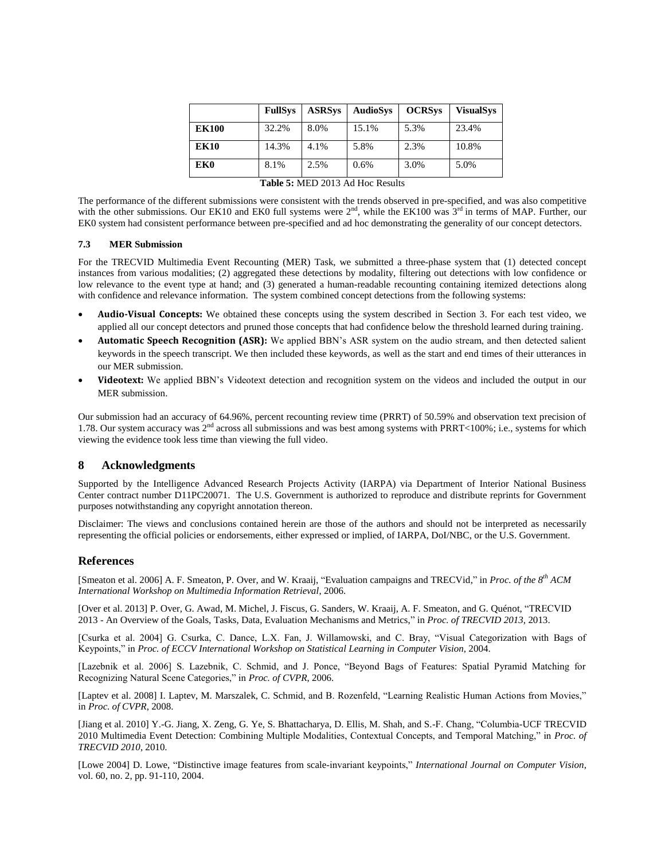|              | <b>FullSys</b> | <b>ASRSvs</b> | <b>AudioSys</b> | <b>OCRSvs</b> | <b>VisualSys</b> |
|--------------|----------------|---------------|-----------------|---------------|------------------|
| <b>EK100</b> | 32.2%          | 8.0%          | 15.1%           | 5.3%          | 23.4%            |
| <b>EK10</b>  | 14.3%          | 4.1%          | 5.8%            | 2.3%          | 10.8%            |
| EK0          | 8.1%           | 2.5%          | 0.6%            | 3.0%          | 5.0%             |

| <b>Table 5: MED 2013 Ad Hoc Results</b> |  |
|-----------------------------------------|--|
|-----------------------------------------|--|

The performance of the different submissions were consistent with the trends observed in pre-specified, and was also competitive with the other submissions. Our EK10 and EK0 full systems were  $2<sup>nd</sup>$ , while the EK100 was  $3<sup>rd</sup>$  in terms of MAP. Further, our EK0 system had consistent performance between pre-specified and ad hoc demonstrating the generality of our concept detectors.

#### **7.3 MER Submission**

For the TRECVID Multimedia Event Recounting (MER) Task, we submitted a three-phase system that (1) detected concept instances from various modalities; (2) aggregated these detections by modality, filtering out detections with low confidence or low relevance to the event type at hand; and (3) generated a human-readable recounting containing itemized detections along with confidence and relevance information. The system combined concept detections from the following systems:

- **Audio-Visual Concepts:** We obtained these concepts using the system described in Section 3. For each test video, we applied all our concept detectors and pruned those concepts that had confidence below the threshold learned during training.
- **Automatic Speech Recognition (ASR):** We applied BBN's ASR system on the audio stream, and then detected salient keywords in the speech transcript. We then included these keywords, as well as the start and end times of their utterances in our MER submission.
- **Videotext:** We applied BBN's Videotext detection and recognition system on the videos and included the output in our MER submission.

Our submission had an accuracy of 64.96%, percent recounting review time (PRRT) of 50.59% and observation text precision of 1.78. Our system accuracy was  $2<sup>nd</sup>$  across all submissions and was best among systems with PRRT<100%; i.e., systems for which viewing the evidence took less time than viewing the full video.

### **8 Acknowledgments**

Supported by the Intelligence Advanced Research Projects Activity (IARPA) via Department of Interior National Business Center contract number D11PC20071. The U.S. Government is authorized to reproduce and distribute reprints for Government purposes notwithstanding any copyright annotation thereon.

Disclaimer: The views and conclusions contained herein are those of the authors and should not be interpreted as necessarily representing the official policies or endorsements, either expressed or implied, of IARPA, DoI/NBC, or the U.S. Government.

### **References**

[Smeaton et al. 2006] A. F. Smeaton, P. Over, and W. Kraaij, "Evaluation campaigns and TRECVid," in *Proc. of the 8th ACM International Workshop on Multimedia Information Retrieval*, 2006.

[Over et al. 2013] P. Over, G. Awad, M. Michel, J. Fiscus, G. Sanders, W. Kraaij, A. F. Smeaton, and G. Quénot, "TRECVID 2013 - An Overview of the Goals, Tasks, Data, Evaluation Mechanisms and Metrics," in *Proc. of TRECVID 2013*, 2013.

[Csurka et al. 2004] G. Csurka, C. Dance, L.X. Fan, J. Willamowski, and C. Bray, "Visual Categorization with Bags of Keypoints," in *Proc. of ECCV International Workshop on Statistical Learning in Computer Vision*, 2004.

[Lazebnik et al. 2006] S. Lazebnik, C. Schmid, and J. Ponce, "Beyond Bags of Features: Spatial Pyramid Matching for Recognizing Natural Scene Categories," in *Proc. of CVPR*, 2006.

[Laptev et al. 2008] I. Laptev, M. Marszalek, C. Schmid, and B. Rozenfeld, "Learning Realistic Human Actions from Movies," in *Proc. of CVPR*, 2008.

[Jiang et al. 2010] Y.-G. Jiang, X. Zeng, G. Ye, S. Bhattacharya, D. Ellis, M. Shah, and S.-F. Chang, "Columbia-UCF TRECVID 2010 Multimedia Event Detection: Combining Multiple Modalities, Contextual Concepts, and Temporal Matching," in *Proc. of TRECVID 2010*, 2010.

[Lowe 2004] D. Lowe, "Distinctive image features from scale-invariant keypoints," *International Journal on Computer Vision*, vol. 60, no. 2, pp. 91-110, 2004.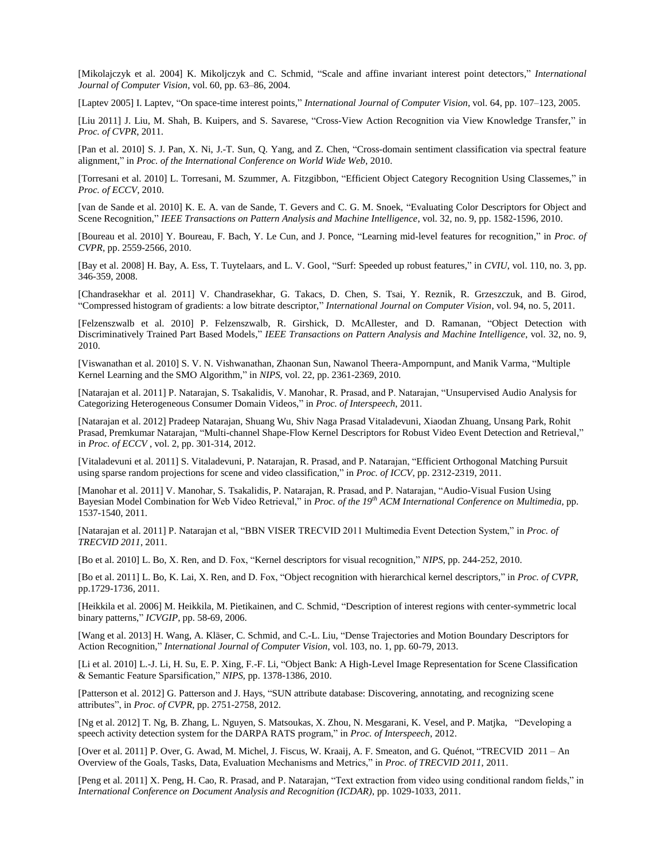[Mikolajczyk et al. 2004] K. Mikoljczyk and C. Schmid, "Scale and affine invariant interest point detectors," *International Journal of Computer Vision*, vol. 60, pp. 63–86, 2004.

[Laptev 2005] I. Laptev, "On space-time interest points," *International Journal of Computer Vision*, vol. 64, pp. 107–123, 2005.

[Liu 2011] J. Liu, M. Shah, B. Kuipers, and S. Savarese, "Cross-View Action Recognition via View Knowledge Transfer," in *Proc. of CVPR*, 2011.

[Pan et al. 2010] S. J. Pan, X. Ni, J.-T. Sun, Q. Yang, and Z. Chen, "Cross-domain sentiment classification via spectral feature alignment," in *Proc. of the International Conference on World Wide Web*, 2010.

[Torresani et al. 2010] L. Torresani, M. Szummer, A. Fitzgibbon, "Efficient Object Category Recognition Using Classemes," in *Proc. of ECCV*, 2010.

[van de Sande et al. 2010] K. E. A. van de Sande, T. Gevers and C. G. M. Snoek, "Evaluating Color Descriptors for Object and Scene Recognition," *IEEE Transactions on Pattern Analysis and Machine Intelligence*, vol. 32, no. 9, pp. 1582-1596, 2010.

[Boureau et al. 2010] Y. Boureau, F. Bach, Y. Le Cun, and J. Ponce, "Learning mid-level features for recognition," in *Proc. of CVPR*, pp. 2559-2566, 2010.

[Bay et al. 2008] H. Bay, A. Ess, T. Tuytelaars, and L. V. Gool, "Surf: Speeded up robust features," in *CVIU*, vol. 110, no. 3, pp. 346-359, 2008.

[Chandrasekhar et al. 2011] V. Chandrasekhar, G. Takacs, D. Chen, S. Tsai, Y. Reznik, R. Grzeszczuk, and B. Girod, "Compressed histogram of gradients: a low bitrate descriptor," *International Journal on Computer Vision*, vol. 94, no. 5, 2011.

[Felzenszwalb et al. 2010] P. Felzenszwalb, R. Girshick, D. McAllester, and D. Ramanan, "Object Detection with Discriminatively Trained Part Based Models," *IEEE Transactions on Pattern Analysis and Machine Intelligence*, vol. 32, no. 9, 2010.

[Viswanathan et al. 2010] S. V. N. Vishwanathan, Zhaonan Sun, Nawanol Theera-Ampornpunt, and Manik Varma, "Multiple Kernel Learning and the SMO Algorithm," in *NIPS*, vol. 22, pp. 2361-2369, 2010.

[Natarajan et al. 2011] P. Natarajan, S. Tsakalidis, V. Manohar, R. Prasad, and P. Natarajan, "Unsupervised Audio Analysis for Categorizing Heterogeneous Consumer Domain Videos," in *Proc. of Interspeech*, 2011.

[Natarajan et al. 2012] Pradeep Natarajan, Shuang Wu, Shiv Naga Prasad Vitaladevuni, Xiaodan Zhuang, Unsang Park, Rohit Prasad, Premkumar Natarajan, "Multi-channel Shape-Flow Kernel Descriptors for Robust Video Event Detection and Retrieval," in *Proc. of ECCV* , vol. 2, pp. 301-314, 2012.

[Vitaladevuni et al. 2011] S. Vitaladevuni, P. Natarajan, R. Prasad, and P. Natarajan, "Efficient Orthogonal Matching Pursuit using sparse random projections for scene and video classification," in *Proc. of ICCV*, pp. 2312-2319, 2011.

[Manohar et al. 2011] V. Manohar, S. Tsakalidis, P. Natarajan, R. Prasad, and P. Natarajan, "Audio-Visual Fusion Using Bayesian Model Combination for Web Video Retrieval," in *Proc. of the 19th ACM International Conference on Multimedia*, pp. 1537-1540, 2011.

[Natarajan et al. 2011] P. Natarajan et al, "BBN VISER TRECVID 2011 Multimedia Event Detection System," in *Proc. of TRECVID 2011*, 2011.

[Bo et al. 2010] L. Bo, X. Ren, and D. Fox, "Kernel descriptors for visual recognition," *NIPS*, pp. 244-252, 2010.

[Bo et al. 2011] L. Bo, K. Lai, X. Ren, and D. Fox, "Object recognition with hierarchical kernel descriptors," in *Proc. of CVPR*, pp.1729-1736, 2011.

[Heikkila et al. 2006] M. Heikkila, M. Pietikainen, and C. Schmid, "Description of interest regions with center-symmetric local binary patterns," *ICVGIP*, pp. 58-69, 2006.

[Wang et al. 2013] H. Wang, A. Kläser, C. Schmid, and C.-L. Liu, "Dense Trajectories and Motion Boundary Descriptors for Action Recognition," *International Journal of Computer Vision*, vol. 103, no. 1, pp. 60-79, 2013.

[Li et al. 2010] L.-J. Li, H. Su, E. P. Xing, F.-F. Li, "Object Bank: A High-Level Image Representation for Scene Classification & Semantic Feature Sparsification," *NIPS*, pp. 1378-1386, 2010.

[Patterson et al. 2012] G. Patterson and J. Hays, "SUN attribute database: Discovering, annotating, and recognizing scene attributes", in *Proc. of CVPR*, pp. 2751-2758, 2012.

[Ng et al. 2012] T. Ng, B. Zhang, L. Nguyen, S. Matsoukas, X. Zhou, N. Mesgarani, K. Vesel, and P. Matjka, "Developing a speech activity detection system for the DARPA RATS program," in *Proc. of Interspeech*, 2012.

[Over et al. 2011] P. Over, G. Awad, M. Michel, J. Fiscus, W. Kraaij, A. F. Smeaton, and G. Quénot, "TRECVID 2011 – An Overview of the Goals, Tasks, Data, Evaluation Mechanisms and Metrics," in *Proc. of TRECVID 2011*, 2011.

[Peng et al. 2011] X. Peng, H. Cao, R. Prasad, and P. Natarajan, "Text extraction from video using conditional random fields," in *International Conference on Document Analysis and Recognition (ICDAR)*, pp. 1029-1033, 2011.